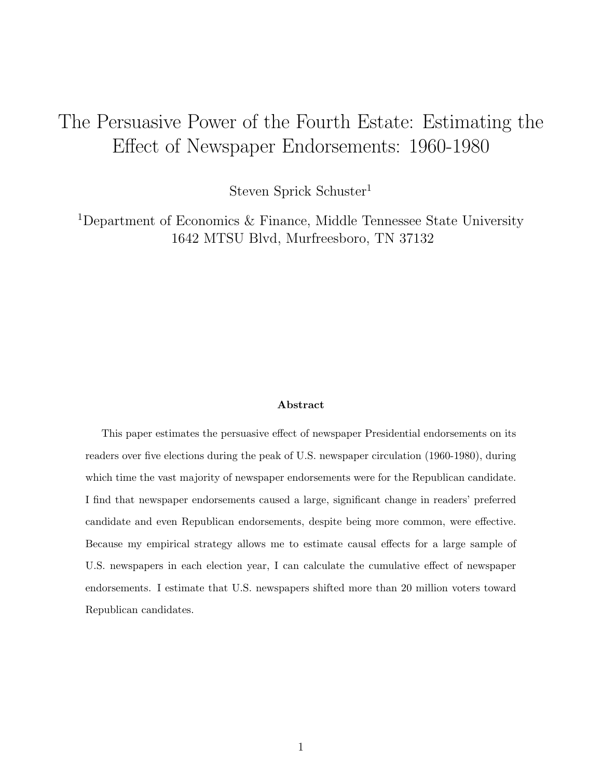# <span id="page-0-0"></span>The Persuasive Power of the Fourth Estate: Estimating the Effect of Newspaper Endorsements: 1960-1980

Steven Sprick Schuster<sup>1</sup>

<sup>1</sup>Department of Economics & Finance, Middle Tennessee State University 1642 MTSU Blvd, Murfreesboro, TN 37132

#### Abstract

This paper estimates the persuasive effect of newspaper Presidential endorsements on its readers over five elections during the peak of U.S. newspaper circulation (1960-1980), during which time the vast majority of newspaper endorsements were for the Republican candidate. I find that newspaper endorsements caused a large, significant change in readers' preferred candidate and even Republican endorsements, despite being more common, were effective. Because my empirical strategy allows me to estimate causal effects for a large sample of U.S. newspapers in each election year, I can calculate the cumulative effect of newspaper endorsements. I estimate that U.S. newspapers shifted more than 20 million voters toward Republican candidates.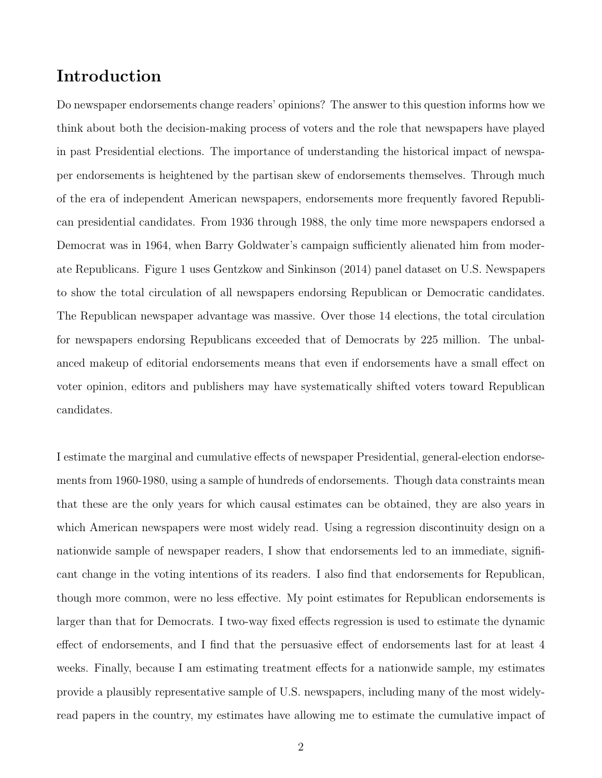## Introduction

Do newspaper endorsements change readers' opinions? The answer to this question informs how we think about both the decision-making process of voters and the role that newspapers have played in past Presidential elections. The importance of understanding the historical impact of newspaper endorsements is heightened by the partisan skew of endorsements themselves. Through much of the era of independent American newspapers, endorsements more frequently favored Republican presidential candidates. From 1936 through 1988, the only time more newspapers endorsed a Democrat was in 1964, when Barry Goldwater's campaign sufficiently alienated him from moderate Republicans. Figure [1](#page-24-0) uses [Gentzkow and Sinkinson](#page-21-0) [\(2014\)](#page-21-0) panel dataset on U.S. Newspapers to show the total circulation of all newspapers endorsing Republican or Democratic candidates. The Republican newspaper advantage was massive. Over those 14 elections, the total circulation for newspapers endorsing Republicans exceeded that of Democrats by 225 million. The unbalanced makeup of editorial endorsements means that even if endorsements have a small effect on voter opinion, editors and publishers may have systematically shifted voters toward Republican candidates.

I estimate the marginal and cumulative effects of newspaper Presidential, general-election endorsements from 1960-1980, using a sample of hundreds of endorsements. Though data constraints mean that these are the only years for which causal estimates can be obtained, they are also years in which American newspapers were most widely read. Using a regression discontinuity design on a nationwide sample of newspaper readers, I show that endorsements led to an immediate, significant change in the voting intentions of its readers. I also find that endorsements for Republican, though more common, were no less effective. My point estimates for Republican endorsements is larger than that for Democrats. I two-way fixed effects regression is used to estimate the dynamic effect of endorsements, and I find that the persuasive effect of endorsements last for at least 4 weeks. Finally, because I am estimating treatment effects for a nationwide sample, my estimates provide a plausibly representative sample of U.S. newspapers, including many of the most widelyread papers in the country, my estimates have allowing me to estimate the cumulative impact of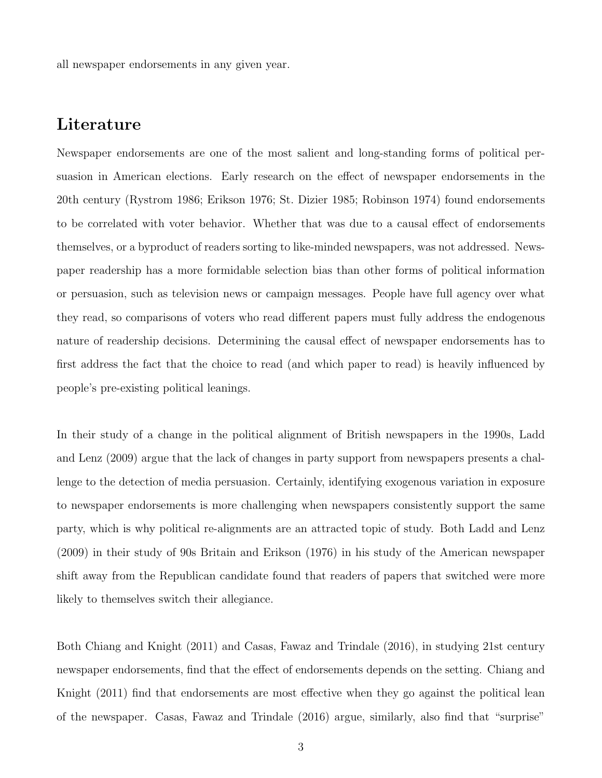all newspaper endorsements in any given year.

### Literature

Newspaper endorsements are one of the most salient and long-standing forms of political persuasion in American elections. Early research on the effect of newspaper endorsements in the 20th century [\(Rystrom 1986;](#page-22-0) [Erikson 1976;](#page-21-1) [St. Dizier 1985;](#page-22-1) [Robinson 1974\)](#page-22-2) found endorsements to be correlated with voter behavior. Whether that was due to a causal effect of endorsements themselves, or a byproduct of readers sorting to like-minded newspapers, was not addressed. Newspaper readership has a more formidable selection bias than other forms of political information or persuasion, such as television news or campaign messages. People have full agency over what they read, so comparisons of voters who read different papers must fully address the endogenous nature of readership decisions. Determining the causal effect of newspaper endorsements has to first address the fact that the choice to read (and which paper to read) is heavily influenced by people's pre-existing political leanings.

In their study of a change in the political alignment of British newspapers in the 1990s, [Ladd](#page-22-3) [and Lenz](#page-22-3) [\(2009\)](#page-22-3) argue that the lack of changes in party support from newspapers presents a challenge to the detection of media persuasion. Certainly, identifying exogenous variation in exposure to newspaper endorsements is more challenging when newspapers consistently support the same party, which is why political re-alignments are an attracted topic of study. Both [Ladd and Lenz](#page-22-3) [\(2009\)](#page-22-3) in their study of 90s Britain and [Erikson](#page-21-1) [\(1976\)](#page-21-1) in his study of the American newspaper shift away from the Republican candidate found that readers of papers that switched were more likely to themselves switch their allegiance.

Both [Chiang and Knight](#page-21-2) [\(2011\)](#page-21-2) and [Casas, Fawaz and Trindale](#page-21-3) [\(2016\)](#page-21-3), in studying 21st century newspaper endorsements, find that the effect of endorsements depends on the setting. [Chiang and](#page-21-2) [Knight](#page-21-2) [\(2011\)](#page-21-2) find that endorsements are most effective when they go against the political lean of the newspaper. [Casas, Fawaz and Trindale](#page-21-3) [\(2016\)](#page-21-3) argue, similarly, also find that "surprise"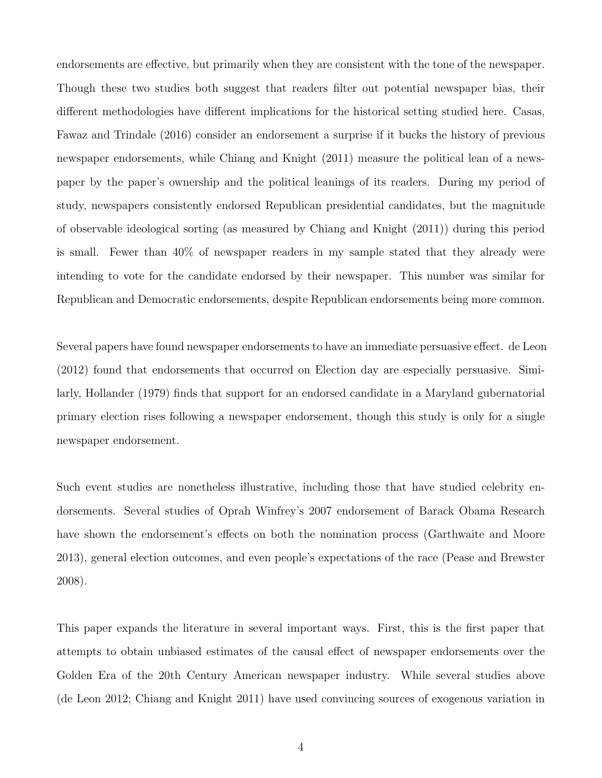endorsements are effective, but primarily when they are consistent with the tone of the newspaper. Though these two studies both suggest that readers filter out potential newspaper bias, their different methodologies have different implications for the historical setting studied here. [Casas,](#page-21-3) [Fawaz and Trindale](#page-21-3) [\(2016\)](#page-21-3) consider an endorsement a surprise if it bucks the history of previous newspaper endorsements, while [Chiang and Knight](#page-21-2) [\(2011\)](#page-21-2) measure the political lean of a newspaper by the paper's ownership and the political leanings of its readers. During my period of study, newspapers consistently endorsed Republican presidential candidates, but the magnitude of observable ideological sorting (as measured by [Chiang and Knight](#page-21-2) [\(2011\)](#page-21-2)) during this period is small. Fewer than 40% of newspaper readers in my sample stated that they already were intending to vote for the candidate endorsed by their newspaper. This number was similar for Republican and Democratic endorsements, despite Republican endorsements being more common.

Several papers have found newspaper endorsements to have an immediate persuasive effect. [de Leon](#page-21-4) [\(2012\)](#page-21-4) found that endorsements that occurred on Election day are especially persuasive. Similarly, [Hollander](#page-21-5) [\(1979\)](#page-21-5) finds that support for an endorsed candidate in a Maryland gubernatorial primary election rises following a newspaper endorsement, though this study is only for a single newspaper endorsement.

Such event studies are nonetheless illustrative, including those that have studied celebrity endorsements. Several studies of Oprah Winfrey's 2007 endorsement of Barack Obama Research have shown the endorsement's effects on both the nomination process [\(Garthwaite and Moore](#page-21-6) [2013\)](#page-21-6), general election outcomes, and even people's expectations of the race [\(Pease and Brewster](#page-22-4) [2008\)](#page-22-4).

This paper expands the literature in several important ways. First, this is the first paper that attempts to obtain unbiased estimates of the causal effect of newspaper endorsements over the Golden Era of the 20th Century American newspaper industry. While several studies above [\(de Leon 2012;](#page-21-4) [Chiang and Knight 2011\)](#page-21-2) have used convincing sources of exogenous variation in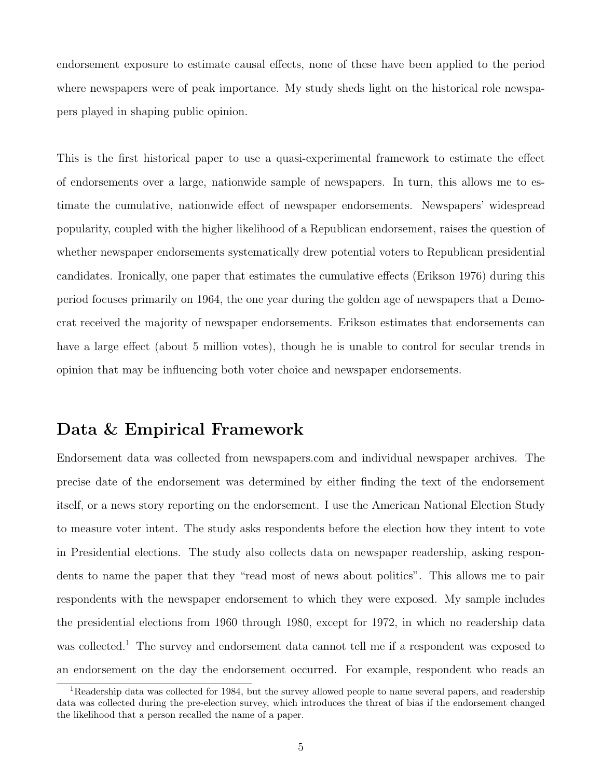endorsement exposure to estimate causal effects, none of these have been applied to the period where newspapers were of peak importance. My study sheds light on the historical role newspapers played in shaping public opinion.

This is the first historical paper to use a quasi-experimental framework to estimate the effect of endorsements over a large, nationwide sample of newspapers. In turn, this allows me to estimate the cumulative, nationwide effect of newspaper endorsements. Newspapers' widespread popularity, coupled with the higher likelihood of a Republican endorsement, raises the question of whether newspaper endorsements systematically drew potential voters to Republican presidential candidates. Ironically, one paper that estimates the cumulative effects [\(Erikson 1976\)](#page-21-1) during this period focuses primarily on 1964, the one year during the golden age of newspapers that a Democrat received the majority of newspaper endorsements. Erikson estimates that endorsements can have a large effect (about 5 million votes), though he is unable to control for secular trends in opinion that may be influencing both voter choice and newspaper endorsements.

### Data & Empirical Framework

Endorsement data was collected from newspapers.com and individual newspaper archives. The precise date of the endorsement was determined by either finding the text of the endorsement itself, or a news story reporting on the endorsement. I use the American National Election Study to measure voter intent. The study asks respondents before the election how they intent to vote in Presidential elections. The study also collects data on newspaper readership, asking respondents to name the paper that they "read most of news about politics". This allows me to pair respondents with the newspaper endorsement to which they were exposed. My sample includes the presidential elections from 1960 through 1980, except for 1972, in which no readership data was collected.<sup>[1](#page-0-0)</sup> The survey and endorsement data cannot tell me if a respondent was exposed to an endorsement on the day the endorsement occurred. For example, respondent who reads an

<sup>&</sup>lt;sup>1</sup>Readership data was collected for 1984, but the survey allowed people to name several papers, and readership data was collected during the pre-election survey, which introduces the threat of bias if the endorsement changed the likelihood that a person recalled the name of a paper.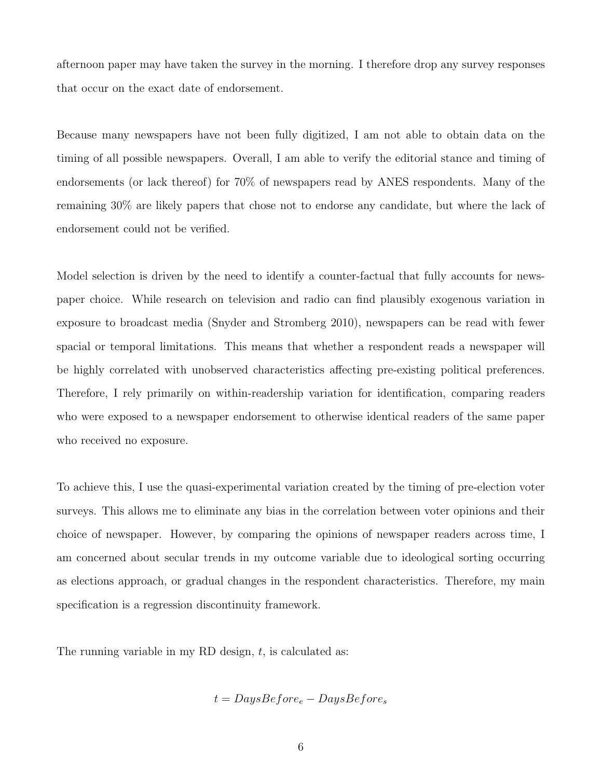afternoon paper may have taken the survey in the morning. I therefore drop any survey responses that occur on the exact date of endorsement.

Because many newspapers have not been fully digitized, I am not able to obtain data on the timing of all possible newspapers. Overall, I am able to verify the editorial stance and timing of endorsements (or lack thereof) for 70% of newspapers read by ANES respondents. Many of the remaining 30% are likely papers that chose not to endorse any candidate, but where the lack of endorsement could not be verified.

Model selection is driven by the need to identify a counter-factual that fully accounts for newspaper choice. While research on television and radio can find plausibly exogenous variation in exposure to broadcast media [\(Snyder and Stromberg 2010\)](#page-22-5), newspapers can be read with fewer spacial or temporal limitations. This means that whether a respondent reads a newspaper will be highly correlated with unobserved characteristics affecting pre-existing political preferences. Therefore, I rely primarily on within-readership variation for identification, comparing readers who were exposed to a newspaper endorsement to otherwise identical readers of the same paper who received no exposure.

To achieve this, I use the quasi-experimental variation created by the timing of pre-election voter surveys. This allows me to eliminate any bias in the correlation between voter opinions and their choice of newspaper. However, by comparing the opinions of newspaper readers across time, I am concerned about secular trends in my outcome variable due to ideological sorting occurring as elections approach, or gradual changes in the respondent characteristics. Therefore, my main specification is a regression discontinuity framework.

The running variable in my RD design,  $t$ , is calculated as:

$$
t = DaysBefore_e - DaysBefore_s
$$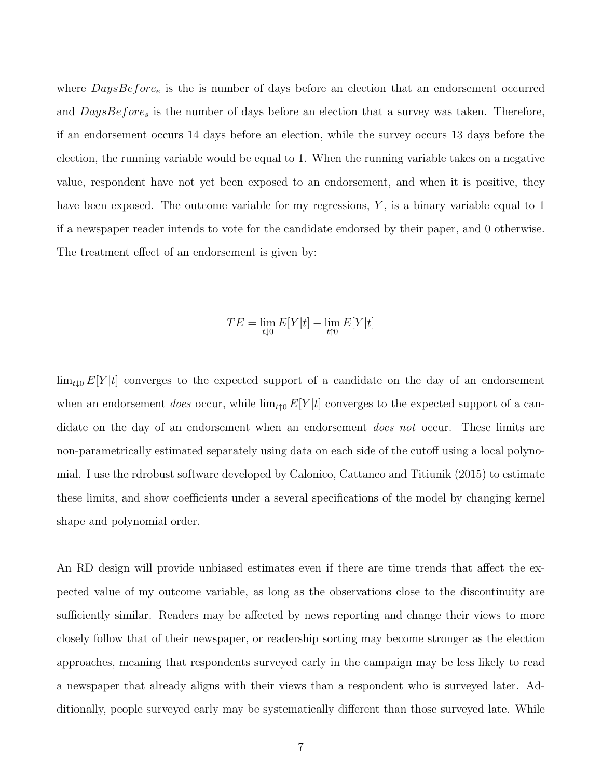where  $DaysBefore_e$  is the is number of days before an election that an endorsement occurred and  $DaysBefore_s$  is the number of days before an election that a survey was taken. Therefore, if an endorsement occurs 14 days before an election, while the survey occurs 13 days before the election, the running variable would be equal to 1. When the running variable takes on a negative value, respondent have not yet been exposed to an endorsement, and when it is positive, they have been exposed. The outcome variable for my regressions,  $Y$ , is a binary variable equal to 1 if a newspaper reader intends to vote for the candidate endorsed by their paper, and 0 otherwise. The treatment effect of an endorsement is given by:

$$
TE = \lim_{t \downarrow 0} E[Y|t] - \lim_{t \uparrow 0} E[Y|t]
$$

 $\lim_{t\downarrow 0} E[Y|t]$  converges to the expected support of a candidate on the day of an endorsement when an endorsement does occur, while  $\lim_{t\uparrow 0} E[Y|t]$  converges to the expected support of a candidate on the day of an endorsement when an endorsement *does not* occur. These limits are non-parametrically estimated separately using data on each side of the cutoff using a local polynomial. I use the rdrobust software developed by [Calonico, Cattaneo and Titiunik](#page-20-0) [\(2015\)](#page-20-0) to estimate these limits, and show coefficients under a several specifications of the model by changing kernel shape and polynomial order.

An RD design will provide unbiased estimates even if there are time trends that affect the expected value of my outcome variable, as long as the observations close to the discontinuity are sufficiently similar. Readers may be affected by news reporting and change their views to more closely follow that of their newspaper, or readership sorting may become stronger as the election approaches, meaning that respondents surveyed early in the campaign may be less likely to read a newspaper that already aligns with their views than a respondent who is surveyed later. Additionally, people surveyed early may be systematically different than those surveyed late. While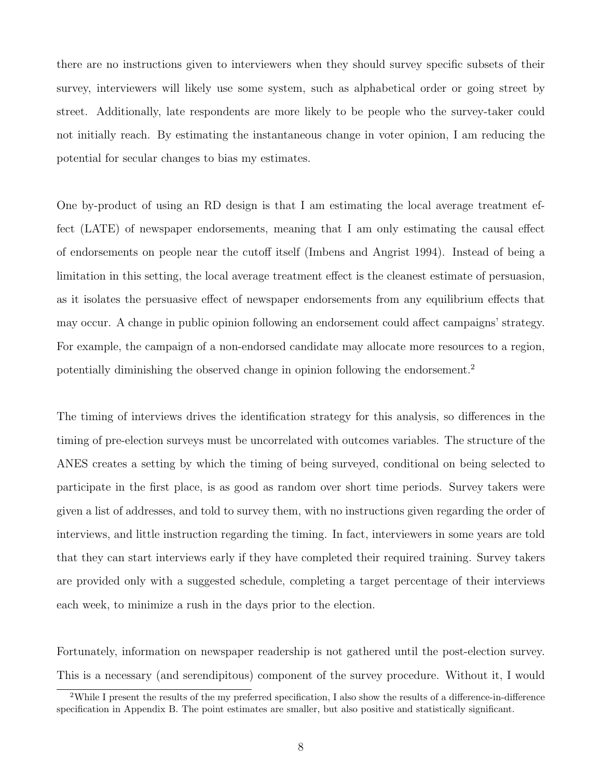there are no instructions given to interviewers when they should survey specific subsets of their survey, interviewers will likely use some system, such as alphabetical order or going street by street. Additionally, late respondents are more likely to be people who the survey-taker could not initially reach. By estimating the instantaneous change in voter opinion, I am reducing the potential for secular changes to bias my estimates.

One by-product of using an RD design is that I am estimating the local average treatment effect (LATE) of newspaper endorsements, meaning that I am only estimating the causal effect of endorsements on people near the cutoff itself [\(Imbens and Angrist 1994\)](#page-21-7). Instead of being a limitation in this setting, the local average treatment effect is the cleanest estimate of persuasion, as it isolates the persuasive effect of newspaper endorsements from any equilibrium effects that may occur. A change in public opinion following an endorsement could affect campaigns' strategy. For example, the campaign of a non-endorsed candidate may allocate more resources to a region, potentially diminishing the observed change in opinion following the endorsement.[2](#page-0-0)

The timing of interviews drives the identification strategy for this analysis, so differences in the timing of pre-election surveys must be uncorrelated with outcomes variables. The structure of the ANES creates a setting by which the timing of being surveyed, conditional on being selected to participate in the first place, is as good as random over short time periods. Survey takers were given a list of addresses, and told to survey them, with no instructions given regarding the order of interviews, and little instruction regarding the timing. In fact, interviewers in some years are told that they can start interviews early if they have completed their required training. Survey takers are provided only with a suggested schedule, completing a target percentage of their interviews each week, to minimize a rush in the days prior to the election.

Fortunately, information on newspaper readership is not gathered until the post-election survey. This is a necessary (and serendipitous) component of the survey procedure. Without it, I would

<sup>2</sup>While I present the results of the my preferred specification, I also show the results of a difference-in-difference specification in Appendix B. The point estimates are smaller, but also positive and statistically significant.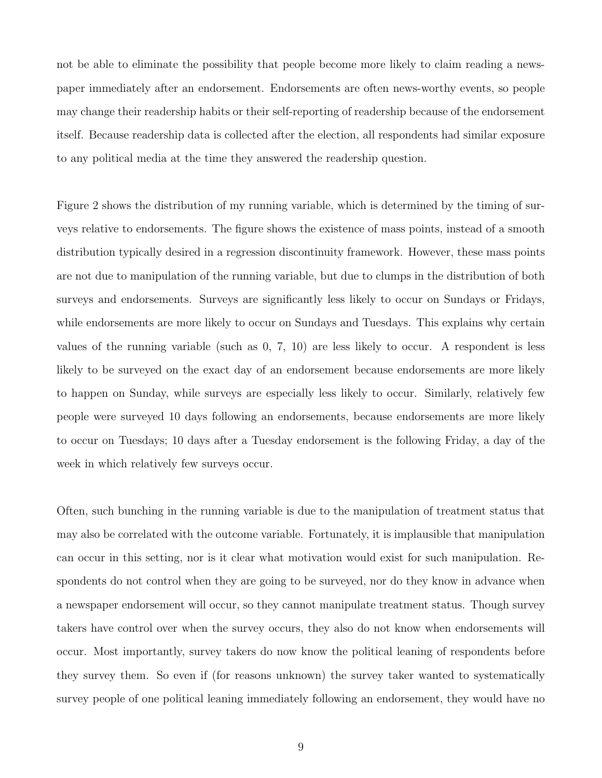not be able to eliminate the possibility that people become more likely to claim reading a newspaper immediately after an endorsement. Endorsements are often news-worthy events, so people may change their readership habits or their self-reporting of readership because of the endorsement itself. Because readership data is collected after the election, all respondents had similar exposure to any political media at the time they answered the readership question.

Figure [2](#page-25-0) shows the distribution of my running variable, which is determined by the timing of surveys relative to endorsements. The figure shows the existence of mass points, instead of a smooth distribution typically desired in a regression discontinuity framework. However, these mass points are not due to manipulation of the running variable, but due to clumps in the distribution of both surveys and endorsements. Surveys are significantly less likely to occur on Sundays or Fridays, while endorsements are more likely to occur on Sundays and Tuesdays. This explains why certain values of the running variable (such as 0, 7, 10) are less likely to occur. A respondent is less likely to be surveyed on the exact day of an endorsement because endorsements are more likely to happen on Sunday, while surveys are especially less likely to occur. Similarly, relatively few people were surveyed 10 days following an endorsements, because endorsements are more likely to occur on Tuesdays; 10 days after a Tuesday endorsement is the following Friday, a day of the week in which relatively few surveys occur.

Often, such bunching in the running variable is due to the manipulation of treatment status that may also be correlated with the outcome variable. Fortunately, it is implausible that manipulation can occur in this setting, nor is it clear what motivation would exist for such manipulation. Respondents do not control when they are going to be surveyed, nor do they know in advance when a newspaper endorsement will occur, so they cannot manipulate treatment status. Though survey takers have control over when the survey occurs, they also do not know when endorsements will occur. Most importantly, survey takers do now know the political leaning of respondents before they survey them. So even if (for reasons unknown) the survey taker wanted to systematically survey people of one political leaning immediately following an endorsement, they would have no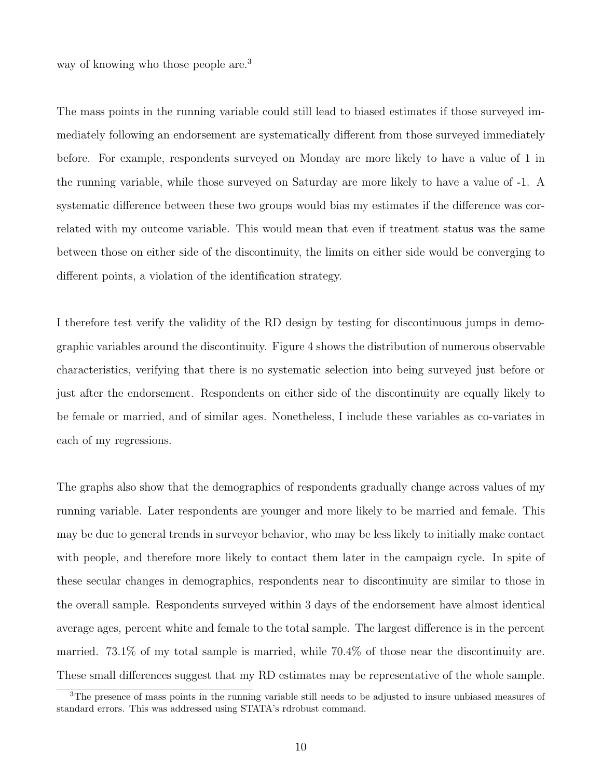way of knowing who those people are.<sup>[3](#page-0-0)</sup>

The mass points in the running variable could still lead to biased estimates if those surveyed immediately following an endorsement are systematically different from those surveyed immediately before. For example, respondents surveyed on Monday are more likely to have a value of 1 in the running variable, while those surveyed on Saturday are more likely to have a value of -1. A systematic difference between these two groups would bias my estimates if the difference was correlated with my outcome variable. This would mean that even if treatment status was the same between those on either side of the discontinuity, the limits on either side would be converging to different points, a violation of the identification strategy.

I therefore test verify the validity of the RD design by testing for discontinuous jumps in demographic variables around the discontinuity. Figure [4](#page-27-0) shows the distribution of numerous observable characteristics, verifying that there is no systematic selection into being surveyed just before or just after the endorsement. Respondents on either side of the discontinuity are equally likely to be female or married, and of similar ages. Nonetheless, I include these variables as co-variates in each of my regressions.

The graphs also show that the demographics of respondents gradually change across values of my running variable. Later respondents are younger and more likely to be married and female. This may be due to general trends in surveyor behavior, who may be less likely to initially make contact with people, and therefore more likely to contact them later in the campaign cycle. In spite of these secular changes in demographics, respondents near to discontinuity are similar to those in the overall sample. Respondents surveyed within 3 days of the endorsement have almost identical average ages, percent white and female to the total sample. The largest difference is in the percent married. 73.1% of my total sample is married, while 70.4% of those near the discontinuity are. These small differences suggest that my RD estimates may be representative of the whole sample.

<sup>3</sup>The presence of mass points in the running variable still needs to be adjusted to insure unbiased measures of standard errors. This was addressed using STATA's rdrobust command.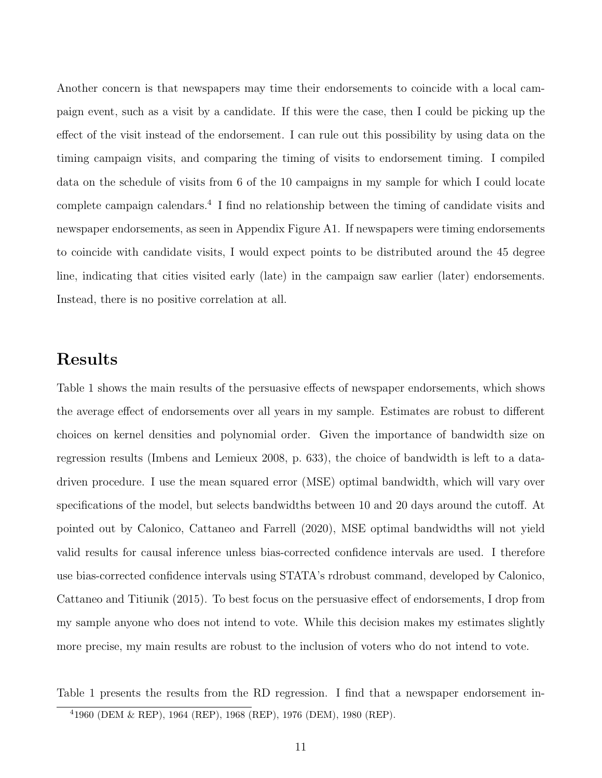Another concern is that newspapers may time their endorsements to coincide with a local campaign event, such as a visit by a candidate. If this were the case, then I could be picking up the effect of the visit instead of the endorsement. I can rule out this possibility by using data on the timing campaign visits, and comparing the timing of visits to endorsement timing. I compiled data on the schedule of visits from 6 of the 10 campaigns in my sample for which I could locate complete campaign calendars.<sup>[4](#page-0-0)</sup> I find no relationship between the timing of candidate visits and newspaper endorsements, as seen in Appendix Figure A1. If newspapers were timing endorsements to coincide with candidate visits, I would expect points to be distributed around the 45 degree line, indicating that cities visited early (late) in the campaign saw earlier (later) endorsements. Instead, there is no positive correlation at all.

### Results

Table 1 shows the main results of the persuasive effects of newspaper endorsements, which shows the average effect of endorsements over all years in my sample. Estimates are robust to different choices on kernel densities and polynomial order. Given the importance of bandwidth size on regression results [\(Imbens and Lemieux 2008,](#page-21-8) p. 633), the choice of bandwidth is left to a datadriven procedure. I use the mean squared error (MSE) optimal bandwidth, which will vary over specifications of the model, but selects bandwidths between 10 and 20 days around the cutoff. At pointed out by [Calonico, Cattaneo and Farrell](#page-20-1) [\(2020\)](#page-20-1), MSE optimal bandwidths will not yield valid results for causal inference unless bias-corrected confidence intervals are used. I therefore use bias-corrected confidence intervals using STATA's rdrobust command, developed by [Calonico,](#page-20-0) [Cattaneo and Titiunik](#page-20-0) [\(2015\)](#page-20-0). To best focus on the persuasive effect of endorsements, I drop from my sample anyone who does not intend to vote. While this decision makes my estimates slightly more precise, my main results are robust to the inclusion of voters who do not intend to vote.

Table [1](#page-30-0) presents the results from the RD regression. I find that a newspaper endorsement in-

<sup>4</sup>1960 (DEM & REP), 1964 (REP), 1968 (REP), 1976 (DEM), 1980 (REP).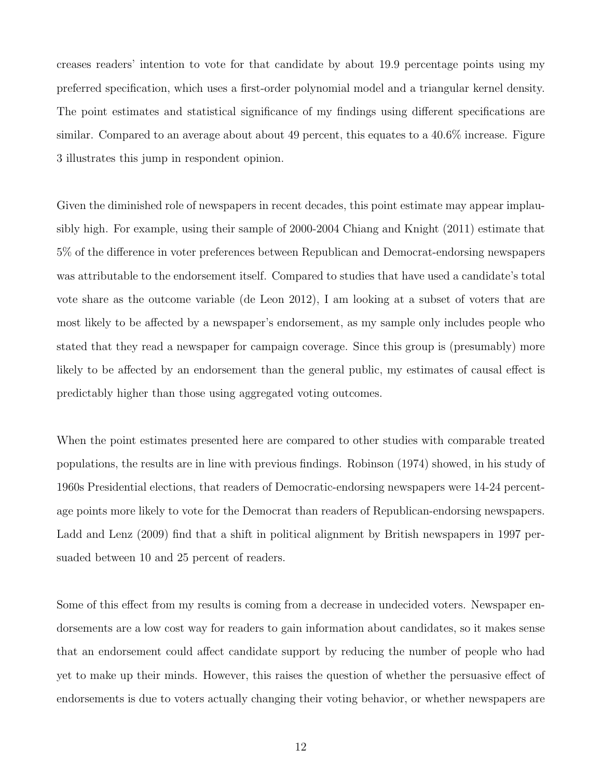creases readers' intention to vote for that candidate by about 19.9 percentage points using my preferred specification, which uses a first-order polynomial model and a triangular kernel density. The point estimates and statistical significance of my findings using different specifications are similar. Compared to an average about about 49 percent, this equates to a 40.6% increase. Figure [3](#page-26-0) illustrates this jump in respondent opinion.

Given the diminished role of newspapers in recent decades, this point estimate may appear implausibly high. For example, using their sample of 2000-2004 [Chiang and Knight](#page-21-2) [\(2011\)](#page-21-2) estimate that 5% of the difference in voter preferences between Republican and Democrat-endorsing newspapers was attributable to the endorsement itself. Compared to studies that have used a candidate's total vote share as the outcome variable [\(de Leon 2012\)](#page-21-4), I am looking at a subset of voters that are most likely to be affected by a newspaper's endorsement, as my sample only includes people who stated that they read a newspaper for campaign coverage. Since this group is (presumably) more likely to be affected by an endorsement than the general public, my estimates of causal effect is predictably higher than those using aggregated voting outcomes.

When the point estimates presented here are compared to other studies with comparable treated populations, the results are in line with previous findings. [Robinson](#page-22-2) [\(1974\)](#page-22-2) showed, in his study of 1960s Presidential elections, that readers of Democratic-endorsing newspapers were 14-24 percentage points more likely to vote for the Democrat than readers of Republican-endorsing newspapers. [Ladd and Lenz](#page-22-3) [\(2009\)](#page-22-3) find that a shift in political alignment by British newspapers in 1997 persuaded between 10 and 25 percent of readers.

Some of this effect from my results is coming from a decrease in undecided voters. Newspaper endorsements are a low cost way for readers to gain information about candidates, so it makes sense that an endorsement could affect candidate support by reducing the number of people who had yet to make up their minds. However, this raises the question of whether the persuasive effect of endorsements is due to voters actually changing their voting behavior, or whether newspapers are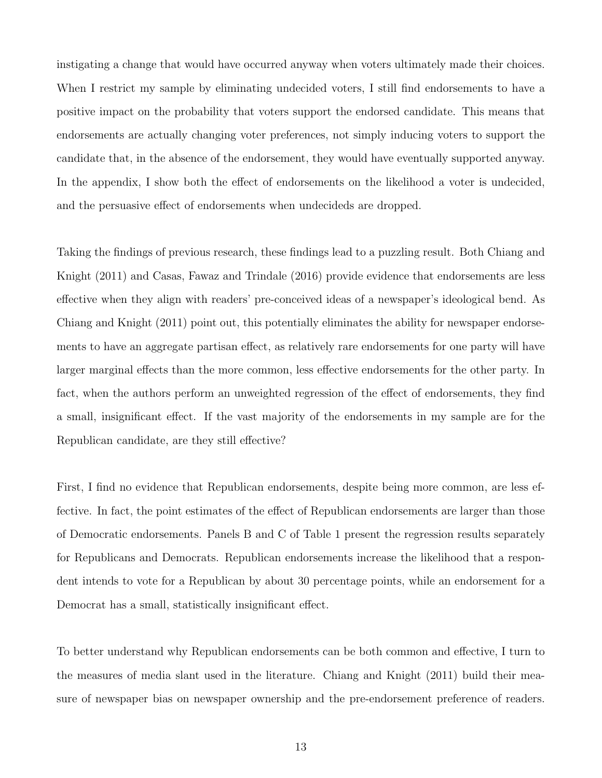instigating a change that would have occurred anyway when voters ultimately made their choices. When I restrict my sample by eliminating undecided voters, I still find endorsements to have a positive impact on the probability that voters support the endorsed candidate. This means that endorsements are actually changing voter preferences, not simply inducing voters to support the candidate that, in the absence of the endorsement, they would have eventually supported anyway. In the appendix, I show both the effect of endorsements on the likelihood a voter is undecided, and the persuasive effect of endorsements when undecideds are dropped.

Taking the findings of previous research, these findings lead to a puzzling result. Both [Chiang and](#page-21-2) [Knight](#page-21-2) [\(2011\)](#page-21-2) and [Casas, Fawaz and Trindale](#page-21-3) [\(2016\)](#page-21-3) provide evidence that endorsements are less effective when they align with readers' pre-conceived ideas of a newspaper's ideological bend. As [Chiang and Knight](#page-21-2) [\(2011\)](#page-21-2) point out, this potentially eliminates the ability for newspaper endorsements to have an aggregate partisan effect, as relatively rare endorsements for one party will have larger marginal effects than the more common, less effective endorsements for the other party. In fact, when the authors perform an unweighted regression of the effect of endorsements, they find a small, insignificant effect. If the vast majority of the endorsements in my sample are for the Republican candidate, are they still effective?

First, I find no evidence that Republican endorsements, despite being more common, are less effective. In fact, the point estimates of the effect of Republican endorsements are larger than those of Democratic endorsements. Panels B and C of Table 1 present the regression results separately for Republicans and Democrats. Republican endorsements increase the likelihood that a respondent intends to vote for a Republican by about 30 percentage points, while an endorsement for a Democrat has a small, statistically insignificant effect.

To better understand why Republican endorsements can be both common and effective, I turn to the measures of media slant used in the literature. [Chiang and Knight](#page-21-2) [\(2011\)](#page-21-2) build their measure of newspaper bias on newspaper ownership and the pre-endorsement preference of readers.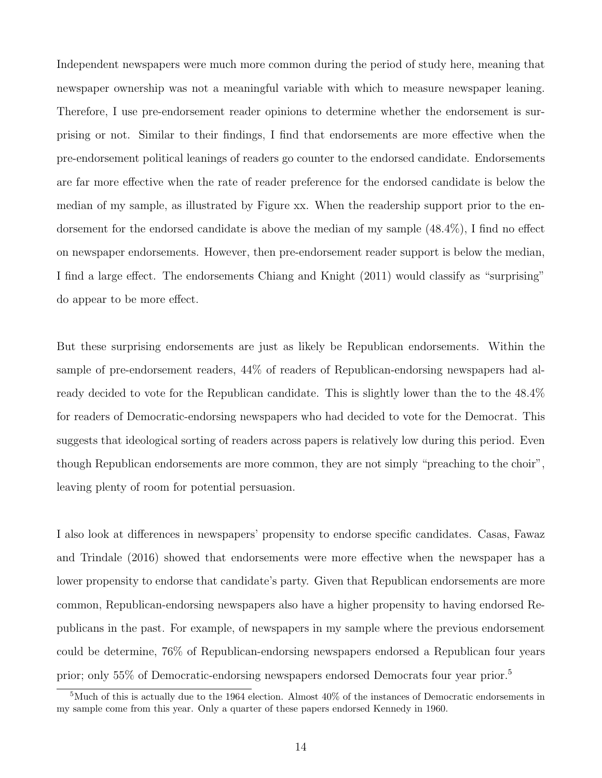Independent newspapers were much more common during the period of study here, meaning that newspaper ownership was not a meaningful variable with which to measure newspaper leaning. Therefore, I use pre-endorsement reader opinions to determine whether the endorsement is surprising or not. Similar to their findings, I find that endorsements are more effective when the pre-endorsement political leanings of readers go counter to the endorsed candidate. Endorsements are far more effective when the rate of reader preference for the endorsed candidate is below the median of my sample, as illustrated by Figure xx. When the readership support prior to the endorsement for the endorsed candidate is above the median of my sample (48.4%), I find no effect on newspaper endorsements. However, then pre-endorsement reader support is below the median, I find a large effect. The endorsements [Chiang and Knight](#page-21-2) [\(2011\)](#page-21-2) would classify as "surprising" do appear to be more effect.

But these surprising endorsements are just as likely be Republican endorsements. Within the sample of pre-endorsement readers, 44% of readers of Republican-endorsing newspapers had already decided to vote for the Republican candidate. This is slightly lower than the to the 48.4% for readers of Democratic-endorsing newspapers who had decided to vote for the Democrat. This suggests that ideological sorting of readers across papers is relatively low during this period. Even though Republican endorsements are more common, they are not simply "preaching to the choir", leaving plenty of room for potential persuasion.

I also look at differences in newspapers' propensity to endorse specific candidates. [Casas, Fawaz](#page-21-3) [and Trindale](#page-21-3) [\(2016\)](#page-21-3) showed that endorsements were more effective when the newspaper has a lower propensity to endorse that candidate's party. Given that Republican endorsements are more common, Republican-endorsing newspapers also have a higher propensity to having endorsed Republicans in the past. For example, of newspapers in my sample where the previous endorsement could be determine, 76% of Republican-endorsing newspapers endorsed a Republican four years prior; only 55% of Democratic-endorsing newspapers endorsed Democrats four year prior.[5](#page-0-0)

<sup>5</sup>Much of this is actually due to the 1964 election. Almost 40% of the instances of Democratic endorsements in my sample come from this year. Only a quarter of these papers endorsed Kennedy in 1960.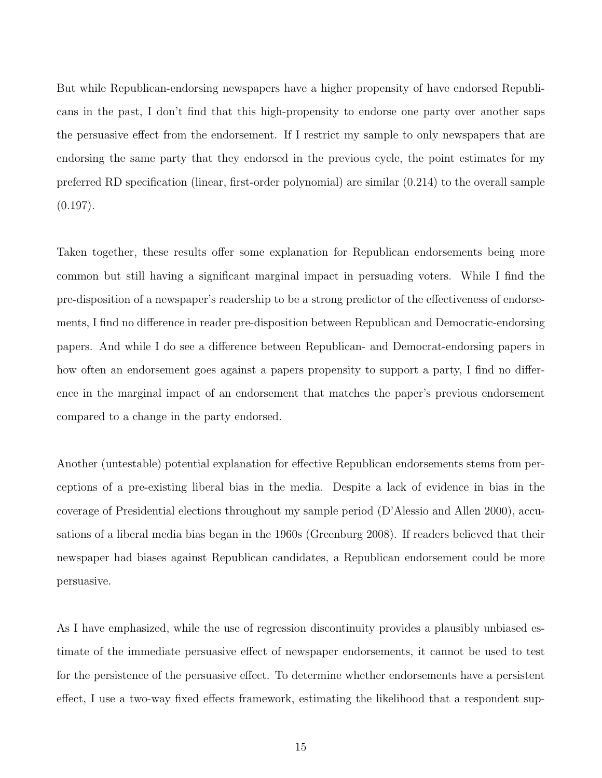But while Republican-endorsing newspapers have a higher propensity of have endorsed Republicans in the past, I don't find that this high-propensity to endorse one party over another saps the persuasive effect from the endorsement. If I restrict my sample to only newspapers that are endorsing the same party that they endorsed in the previous cycle, the point estimates for my preferred RD specification (linear, first-order polynomial) are similar (0.214) to the overall sample  $(0.197)$ .

Taken together, these results offer some explanation for Republican endorsements being more common but still having a significant marginal impact in persuading voters. While I find the pre-disposition of a newspaper's readership to be a strong predictor of the effectiveness of endorsements, I find no difference in reader pre-disposition between Republican and Democratic-endorsing papers. And while I do see a difference between Republican- and Democrat-endorsing papers in how often an endorsement goes against a papers propensity to support a party, I find no difference in the marginal impact of an endorsement that matches the paper's previous endorsement compared to a change in the party endorsed.

Another (untestable) potential explanation for effective Republican endorsements stems from perceptions of a pre-existing liberal bias in the media. Despite a lack of evidence in bias in the coverage of Presidential elections throughout my sample period [\(D'Alessio and Allen 2000\)](#page-21-9), accusations of a liberal media bias began in the 1960s [\(Greenburg 2008\)](#page-21-10). If readers believed that their newspaper had biases against Republican candidates, a Republican endorsement could be more persuasive.

As I have emphasized, while the use of regression discontinuity provides a plausibly unbiased estimate of the immediate persuasive effect of newspaper endorsements, it cannot be used to test for the persistence of the persuasive effect. To determine whether endorsements have a persistent effect, I use a two-way fixed effects framework, estimating the likelihood that a respondent sup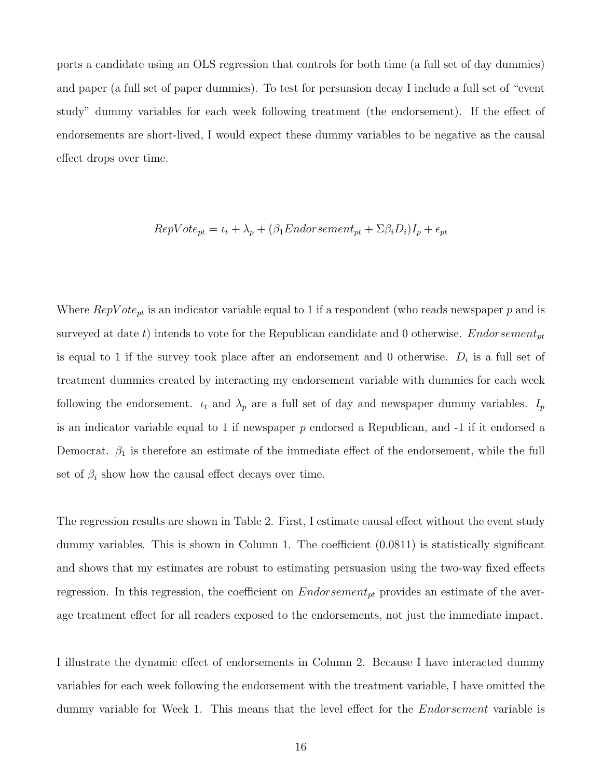ports a candidate using an OLS regression that controls for both time (a full set of day dummies) and paper (a full set of paper dummies). To test for persuasion decay I include a full set of "event study" dummy variables for each week following treatment (the endorsement). If the effect of endorsements are short-lived, I would expect these dummy variables to be negative as the causal effect drops over time.

$$
RepVote_{pt} = \iota_t + \lambda_p + (\beta_1 Endorsement_{pt} + \Sigma \beta_i D_i)I_p + \epsilon_{pt}
$$

Where  $RepVote_{pt}$  is an indicator variable equal to 1 if a respondent (who reads newspaper p and is surveyed at date t) intends to vote for the Republican candidate and 0 otherwise. *Endorsement*<sub>pt</sub> is equal to 1 if the survey took place after an endorsement and 0 otherwise.  $D_i$  is a full set of treatment dummies created by interacting my endorsement variable with dummies for each week following the endorsement.  $u_t$  and  $\lambda_p$  are a full set of day and newspaper dummy variables.  $I_p$ is an indicator variable equal to 1 if newspaper  $p$  endorsed a Republican, and  $-1$  if it endorsed a Democrat.  $\beta_1$  is therefore an estimate of the immediate effect of the endorsement, while the full set of  $\beta_i$  show how the causal effect decays over time.

The regression results are shown in Table [2.](#page-31-0) First, I estimate causal effect without the event study dummy variables. This is shown in Column 1. The coefficient (0.0811) is statistically significant and shows that my estimates are robust to estimating persuasion using the two-way fixed effects regression. In this regression, the coefficient on  $Endorsement_{pt}$  provides an estimate of the average treatment effect for all readers exposed to the endorsements, not just the immediate impact.

I illustrate the dynamic effect of endorsements in Column 2. Because I have interacted dummy variables for each week following the endorsement with the treatment variable, I have omitted the dummy variable for Week 1. This means that the level effect for the *Endorsement* variable is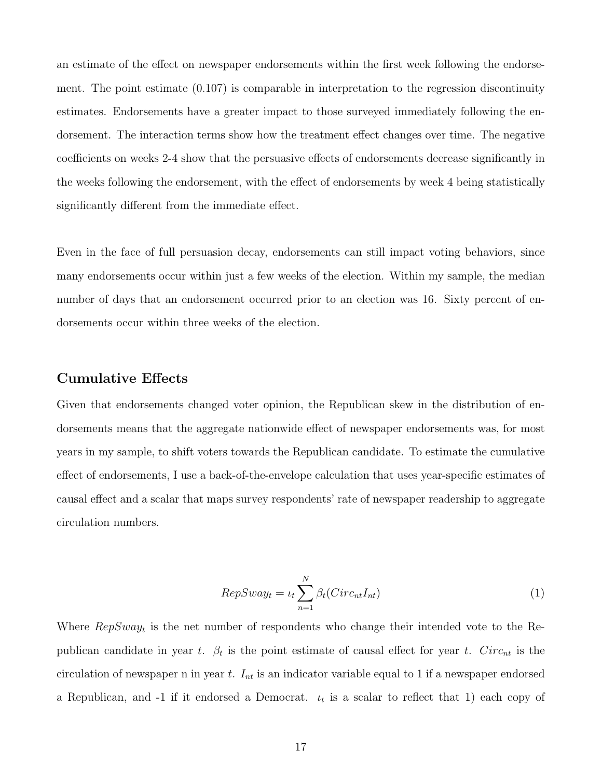an estimate of the effect on newspaper endorsements within the first week following the endorsement. The point estimate (0.107) is comparable in interpretation to the regression discontinuity estimates. Endorsements have a greater impact to those surveyed immediately following the endorsement. The interaction terms show how the treatment effect changes over time. The negative coefficients on weeks 2-4 show that the persuasive effects of endorsements decrease significantly in the weeks following the endorsement, with the effect of endorsements by week 4 being statistically significantly different from the immediate effect.

Even in the face of full persuasion decay, endorsements can still impact voting behaviors, since many endorsements occur within just a few weeks of the election. Within my sample, the median number of days that an endorsement occurred prior to an election was 16. Sixty percent of endorsements occur within three weeks of the election.

### Cumulative Effects

Given that endorsements changed voter opinion, the Republican skew in the distribution of endorsements means that the aggregate nationwide effect of newspaper endorsements was, for most years in my sample, to shift voters towards the Republican candidate. To estimate the cumulative effect of endorsements, I use a back-of-the-envelope calculation that uses year-specific estimates of causal effect and a scalar that maps survey respondents' rate of newspaper readership to aggregate circulation numbers.

$$
RepSway_t = \iota_t \sum_{n=1}^{N} \beta_t(Circ_{nt}I_{nt})
$$
\n<sup>(1)</sup>

Where  $RepSway_t$  is the net number of respondents who change their intended vote to the Republican candidate in year t.  $\beta_t$  is the point estimate of causal effect for year t. Circ<sub>nt</sub> is the circulation of newspaper n in year t.  $I_{nt}$  is an indicator variable equal to 1 if a newspaper endorsed a Republican, and  $-1$  if it endorsed a Democrat.  $\iota_t$  is a scalar to reflect that 1) each copy of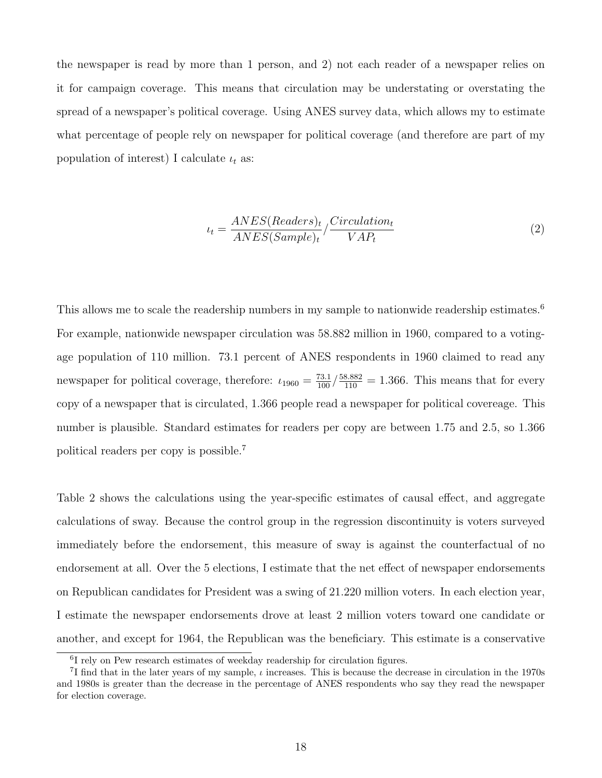the newspaper is read by more than 1 person, and 2) not each reader of a newspaper relies on it for campaign coverage. This means that circulation may be understating or overstating the spread of a newspaper's political coverage. Using ANES survey data, which allows my to estimate what percentage of people rely on newspaper for political coverage (and therefore are part of my population of interest) I calculate  $\iota_t$  as:

$$
\iota_t = \frac{ANES(Readers)_t}{ANES(Sample)_t} / \frac{Circulation_t}{VAR_t} \tag{2}
$$

This allows me to scale the readership numbers in my sample to nationwide readership estimates.<sup>[6](#page-0-0)</sup> For example, nationwide newspaper circulation was 58.882 million in 1960, compared to a votingage population of 110 million. 73.1 percent of ANES respondents in 1960 claimed to read any newspaper for political coverage, therefore:  $\iota_{1960} = \frac{73.1}{100} / \frac{58.882}{110} = 1.366$ . This means that for every copy of a newspaper that is circulated, 1.366 people read a newspaper for political covereage. This number is plausible. Standard estimates for readers per copy are between 1.75 and 2.5, so 1.366 political readers per copy is possible.[7](#page-0-0)

Table 2 shows the calculations using the year-specific estimates of causal effect, and aggregate calculations of sway. Because the control group in the regression discontinuity is voters surveyed immediately before the endorsement, this measure of sway is against the counterfactual of no endorsement at all. Over the 5 elections, I estimate that the net effect of newspaper endorsements on Republican candidates for President was a swing of 21.220 million voters. In each election year, I estimate the newspaper endorsements drove at least 2 million voters toward one candidate or another, and except for 1964, the Republican was the beneficiary. This estimate is a conservative

<sup>6</sup> I rely on Pew research estimates of weekday readership for circulation figures.

<sup>&</sup>lt;sup>7</sup>I find that in the later years of my sample,  $\iota$  increases. This is because the decrease in circulation in the 1970s and 1980s is greater than the decrease in the percentage of ANES respondents who say they read the newspaper for election coverage.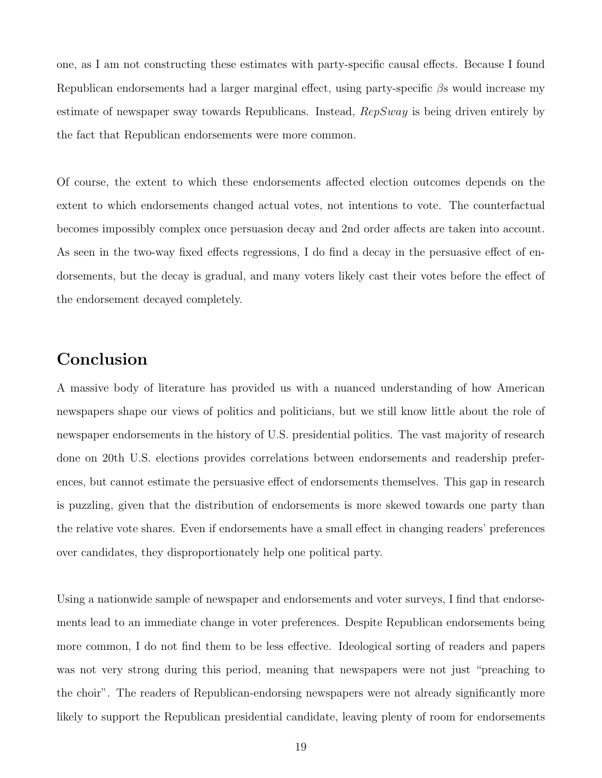one, as I am not constructing these estimates with party-specific causal effects. Because I found Republican endorsements had a larger marginal effect, using party-specific  $\beta$ s would increase my estimate of newspaper sway towards Republicans. Instead,  $RepSway$  is being driven entirely by the fact that Republican endorsements were more common.

Of course, the extent to which these endorsements affected election outcomes depends on the extent to which endorsements changed actual votes, not intentions to vote. The counterfactual becomes impossibly complex once persuasion decay and 2nd order affects are taken into account. As seen in the two-way fixed effects regressions, I do find a decay in the persuasive effect of endorsements, but the decay is gradual, and many voters likely cast their votes before the effect of the endorsement decayed completely.

## Conclusion

A massive body of literature has provided us with a nuanced understanding of how American newspapers shape our views of politics and politicians, but we still know little about the role of newspaper endorsements in the history of U.S. presidential politics. The vast majority of research done on 20th U.S. elections provides correlations between endorsements and readership preferences, but cannot estimate the persuasive effect of endorsements themselves. This gap in research is puzzling, given that the distribution of endorsements is more skewed towards one party than the relative vote shares. Even if endorsements have a small effect in changing readers' preferences over candidates, they disproportionately help one political party.

Using a nationwide sample of newspaper and endorsements and voter surveys, I find that endorsements lead to an immediate change in voter preferences. Despite Republican endorsements being more common, I do not find them to be less effective. Ideological sorting of readers and papers was not very strong during this period, meaning that newspapers were not just "preaching to the choir". The readers of Republican-endorsing newspapers were not already significantly more likely to support the Republican presidential candidate, leaving plenty of room for endorsements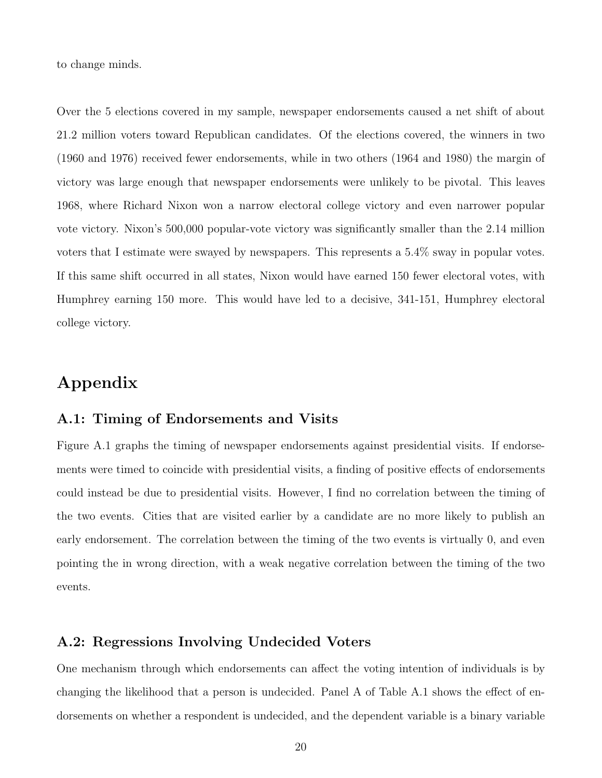to change minds.

Over the 5 elections covered in my sample, newspaper endorsements caused a net shift of about 21.2 million voters toward Republican candidates. Of the elections covered, the winners in two (1960 and 1976) received fewer endorsements, while in two others (1964 and 1980) the margin of victory was large enough that newspaper endorsements were unlikely to be pivotal. This leaves 1968, where Richard Nixon won a narrow electoral college victory and even narrower popular vote victory. Nixon's 500,000 popular-vote victory was significantly smaller than the 2.14 million voters that I estimate were swayed by newspapers. This represents a 5.4% sway in popular votes. If this same shift occurred in all states, Nixon would have earned 150 fewer electoral votes, with Humphrey earning 150 more. This would have led to a decisive, 341-151, Humphrey electoral college victory.

# Appendix

#### A.1: Timing of Endorsements and Visits

Figure A.1 graphs the timing of newspaper endorsements against presidential visits. If endorsements were timed to coincide with presidential visits, a finding of positive effects of endorsements could instead be due to presidential visits. However, I find no correlation between the timing of the two events. Cities that are visited earlier by a candidate are no more likely to publish an early endorsement. The correlation between the timing of the two events is virtually 0, and even pointing the in wrong direction, with a weak negative correlation between the timing of the two events.

### A.2: Regressions Involving Undecided Voters

One mechanism through which endorsements can affect the voting intention of individuals is by changing the likelihood that a person is undecided. Panel A of Table A.1 shows the effect of endorsements on whether a respondent is undecided, and the dependent variable is a binary variable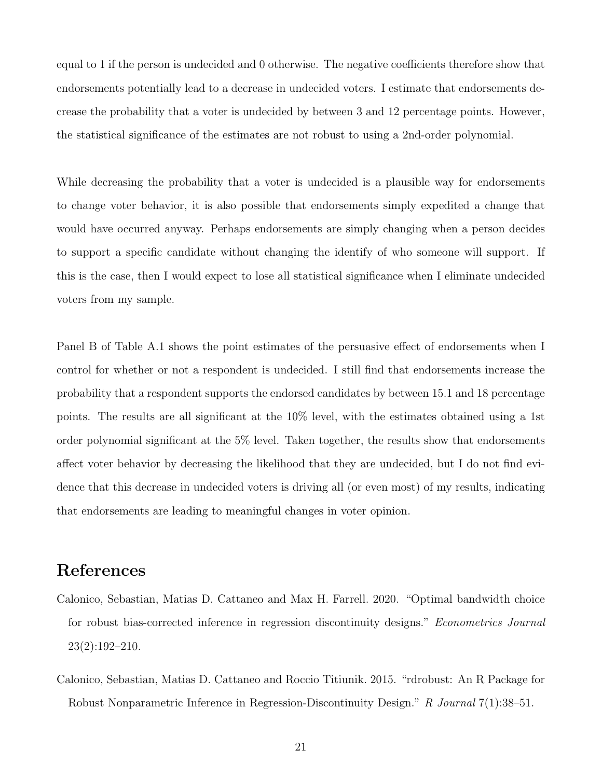equal to 1 if the person is undecided and 0 otherwise. The negative coefficients therefore show that endorsements potentially lead to a decrease in undecided voters. I estimate that endorsements decrease the probability that a voter is undecided by between 3 and 12 percentage points. However, the statistical significance of the estimates are not robust to using a 2nd-order polynomial.

While decreasing the probability that a voter is undecided is a plausible way for endorsements to change voter behavior, it is also possible that endorsements simply expedited a change that would have occurred anyway. Perhaps endorsements are simply changing when a person decides to support a specific candidate without changing the identify of who someone will support. If this is the case, then I would expect to lose all statistical significance when I eliminate undecided voters from my sample.

Panel B of Table A.1 shows the point estimates of the persuasive effect of endorsements when I control for whether or not a respondent is undecided. I still find that endorsements increase the probability that a respondent supports the endorsed candidates by between 15.1 and 18 percentage points. The results are all significant at the 10% level, with the estimates obtained using a 1st order polynomial significant at the 5% level. Taken together, the results show that endorsements affect voter behavior by decreasing the likelihood that they are undecided, but I do not find evidence that this decrease in undecided voters is driving all (or even most) of my results, indicating that endorsements are leading to meaningful changes in voter opinion.

## <span id="page-20-1"></span>References

- Calonico, Sebastian, Matias D. Cattaneo and Max H. Farrell. 2020. "Optimal bandwidth choice for robust bias-corrected inference in regression discontinuity designs." Econometrics Journal 23(2):192–210.
- <span id="page-20-0"></span>Calonico, Sebastian, Matias D. Cattaneo and Roccio Titiunik. 2015. "rdrobust: An R Package for Robust Nonparametric Inference in Regression-Discontinuity Design." R Journal 7(1):38–51.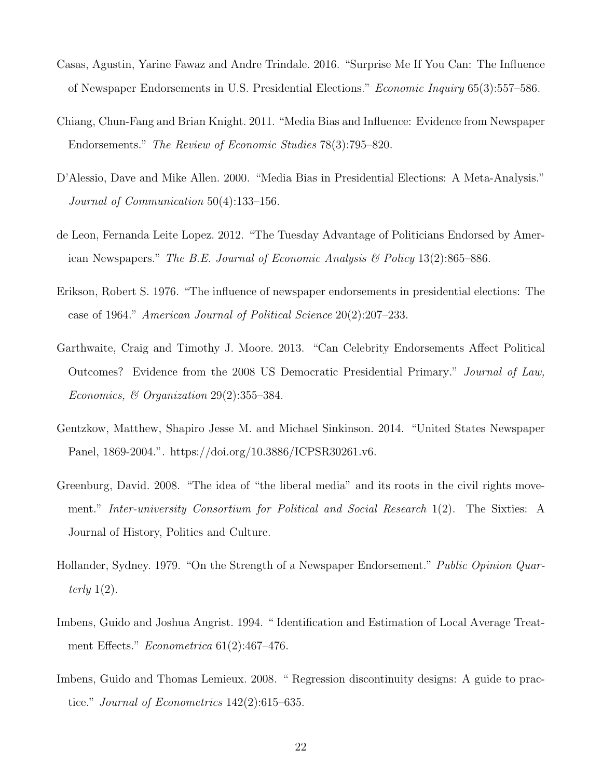- <span id="page-21-3"></span>Casas, Agustin, Yarine Fawaz and Andre Trindale. 2016. "Surprise Me If You Can: The Influence of Newspaper Endorsements in U.S. Presidential Elections." Economic Inquiry 65(3):557–586.
- <span id="page-21-2"></span>Chiang, Chun-Fang and Brian Knight. 2011. "Media Bias and Influence: Evidence from Newspaper Endorsements." The Review of Economic Studies 78(3):795–820.
- <span id="page-21-9"></span>D'Alessio, Dave and Mike Allen. 2000. "Media Bias in Presidential Elections: A Meta-Analysis." Journal of Communication 50(4):133–156.
- <span id="page-21-4"></span>de Leon, Fernanda Leite Lopez. 2012. "The Tuesday Advantage of Politicians Endorsed by American Newspapers." The B.E. Journal of Economic Analysis & Policy 13(2):865–886.
- <span id="page-21-1"></span>Erikson, Robert S. 1976. "The influence of newspaper endorsements in presidential elections: The case of 1964." American Journal of Political Science 20(2):207–233.
- <span id="page-21-6"></span>Garthwaite, Craig and Timothy J. Moore. 2013. "Can Celebrity Endorsements Affect Political Outcomes? Evidence from the 2008 US Democratic Presidential Primary." Journal of Law, Economics, & Organization 29(2):355–384.
- <span id="page-21-0"></span>Gentzkow, Matthew, Shapiro Jesse M. and Michael Sinkinson. 2014. "United States Newspaper Panel, 1869-2004.". https://doi.org/10.3886/ICPSR30261.v6.
- <span id="page-21-10"></span>Greenburg, David. 2008. "The idea of "the liberal media" and its roots in the civil rights movement." Inter-university Consortium for Political and Social Research 1(2). The Sixties: A Journal of History, Politics and Culture.
- <span id="page-21-5"></span>Hollander, Sydney. 1979. "On the Strength of a Newspaper Endorsement." Public Opinion Quarterly  $1(2)$ .
- <span id="page-21-7"></span>Imbens, Guido and Joshua Angrist. 1994. " Identification and Estimation of Local Average Treatment Effects." *Econometrica* 61(2):467–476.
- <span id="page-21-8"></span>Imbens, Guido and Thomas Lemieux. 2008. " Regression discontinuity designs: A guide to practice." Journal of Econometrics 142(2):615–635.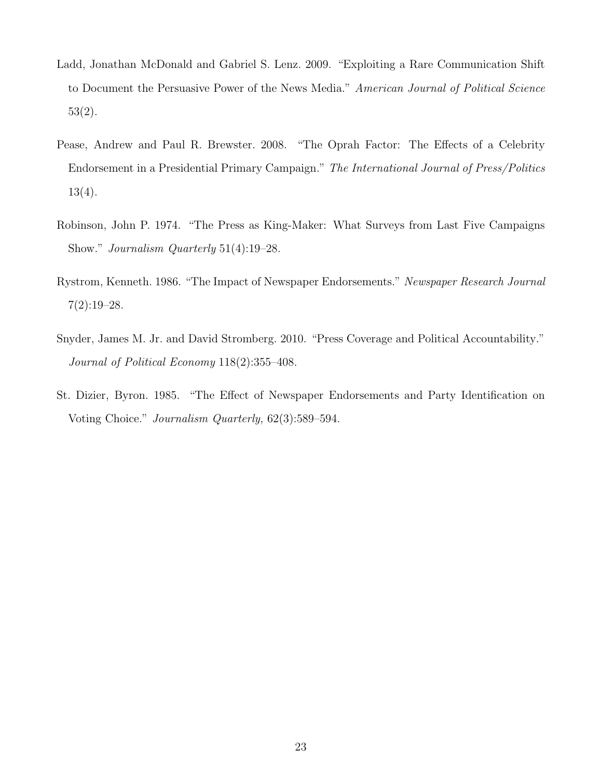- <span id="page-22-3"></span>Ladd, Jonathan McDonald and Gabriel S. Lenz. 2009. "Exploiting a Rare Communication Shift to Document the Persuasive Power of the News Media." American Journal of Political Science 53(2).
- <span id="page-22-4"></span>Pease, Andrew and Paul R. Brewster. 2008. "The Oprah Factor: The Effects of a Celebrity Endorsement in a Presidential Primary Campaign." The International Journal of Press/Politics 13(4).
- <span id="page-22-2"></span>Robinson, John P. 1974. "The Press as King-Maker: What Surveys from Last Five Campaigns Show." Journalism Quarterly 51(4):19–28.
- <span id="page-22-0"></span>Rystrom, Kenneth. 1986. "The Impact of Newspaper Endorsements." Newspaper Research Journal  $7(2):19-28.$
- <span id="page-22-5"></span>Snyder, James M. Jr. and David Stromberg. 2010. "Press Coverage and Political Accountability." Journal of Political Economy 118(2):355–408.
- <span id="page-22-1"></span>St. Dizier, Byron. 1985. "The Effect of Newspaper Endorsements and Party Identification on Voting Choice." Journalism Quarterly, 62(3):589–594.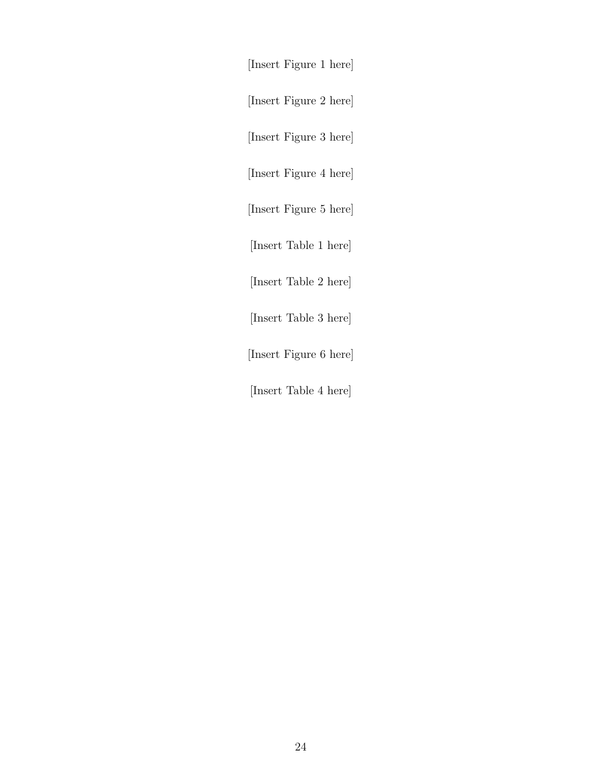[Insert Figure 1 here]

[Insert Figure 2 here]

[Insert Figure 3 here]

[Insert Figure 4 here]

[Insert Figure 5 here]

[Insert Table 1 here]

[Insert Table 2 here]

[Insert Table 3 here]

[Insert Figure 6 here]

[Insert Table 4 here]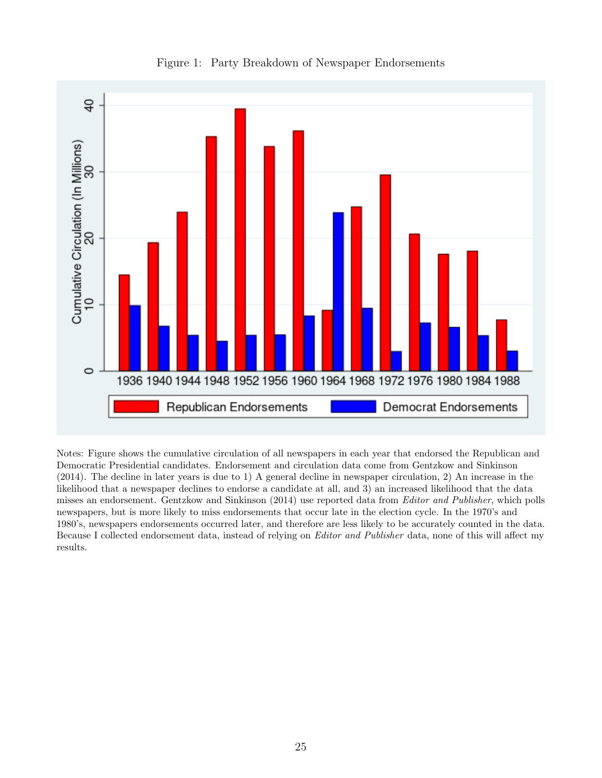<span id="page-24-0"></span>

Figure 1: Party Breakdown of Newspaper Endorsements

Notes: Figure shows the cumulative circulation of all newspapers in each year that endorsed the Republican and Democratic Presidential candidates. Endorsement and circulation data come from [Gentzkow and Sinkinson](#page-21-0) [\(2014\)](#page-21-0). The decline in later years is due to 1) A general decline in newspaper circulation, 2) An increase in the likelihood that a newspaper declines to endorse a candidate at all, and 3) an increased likelihood that the data misses an endorsement. [Gentzkow and Sinkinson](#page-21-0) [\(2014\)](#page-21-0) use reported data from Editor and Publisher, which polls newspapers, but is more likely to miss endorsements that occur late in the election cycle. In the 1970's and 1980's, newspapers endorsements occurred later, and therefore are less likely to be accurately counted in the data. Because I collected endorsement data, instead of relying on Editor and Publisher data, none of this will affect my results.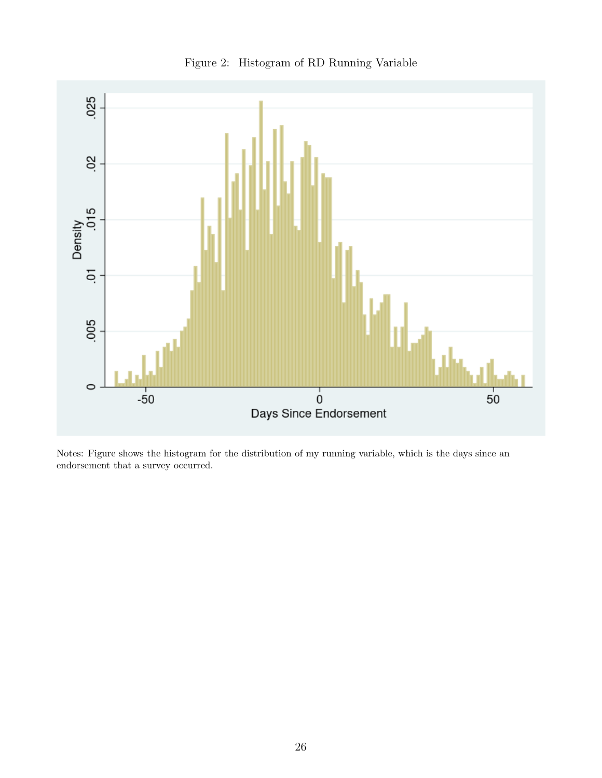<span id="page-25-0"></span>

Figure 2: Histogram of RD Running Variable

Notes: Figure shows the histogram for the distribution of my running variable, which is the days since an endorsement that a survey occurred.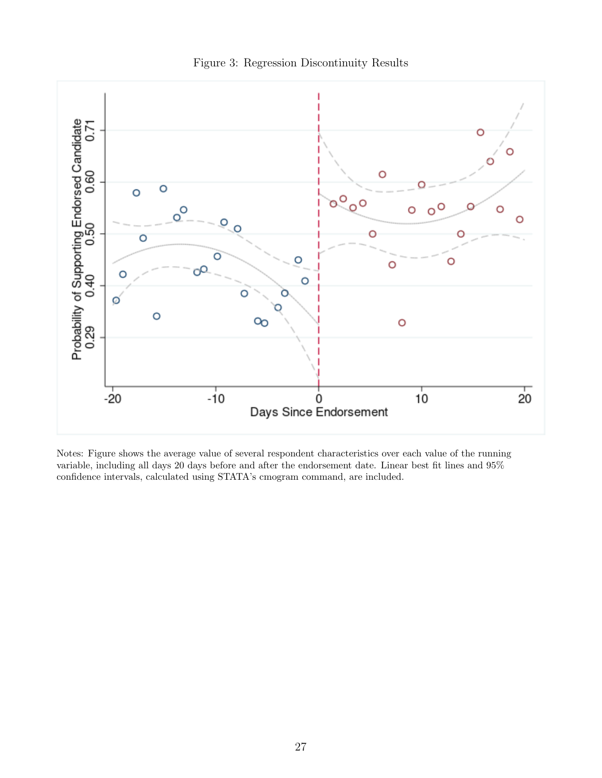<span id="page-26-0"></span>

Notes: Figure shows the average value of several respondent characteristics over each value of the running variable, including all days 20 days before and after the endorsement date. Linear best fit lines and 95% confidence intervals, calculated using STATA's cmogram command, are included.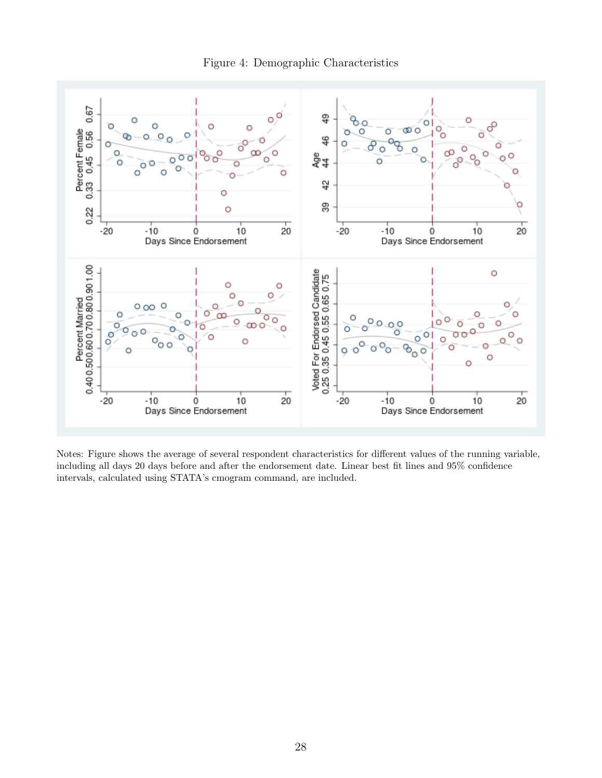

<span id="page-27-0"></span>

Notes: Figure shows the average of several respondent characteristics for different values of the running variable, including all days 20 days before and after the endorsement date. Linear best fit lines and 95% confidence intervals, calculated using STATA's cmogram command, are included.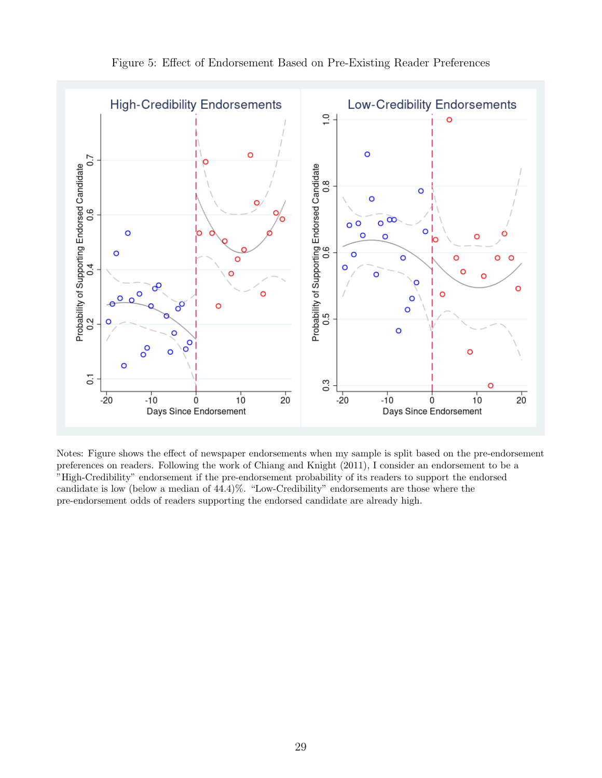

Figure 5: Effect of Endorsement Based on Pre-Existing Reader Preferences

Notes: Figure shows the effect of newspaper endorsements when my sample is split based on the pre-endorsement preferences on readers. Following the work of [Chiang and Knight](#page-21-2) [\(2011\)](#page-21-2), I consider an endorsement to be a "High-Credibility" endorsement if the pre-endorsement probability of its readers to support the endorsed candidate is low (below a median of 44.4)%. "Low-Credibility" endorsements are those where the pre-endorsement odds of readers supporting the endorsed candidate are already high.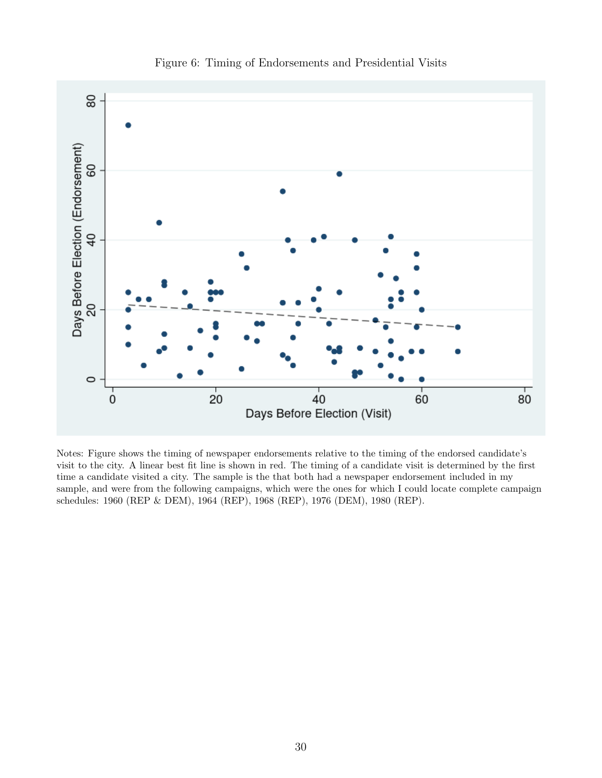

Figure 6: Timing of Endorsements and Presidential Visits

Notes: Figure shows the timing of newspaper endorsements relative to the timing of the endorsed candidate's visit to the city. A linear best fit line is shown in red. The timing of a candidate visit is determined by the first time a candidate visited a city. The sample is the that both had a newspaper endorsement included in my sample, and were from the following campaigns, which were the ones for which I could locate complete campaign schedules: 1960 (REP & DEM), 1964 (REP), 1968 (REP), 1976 (DEM), 1980 (REP).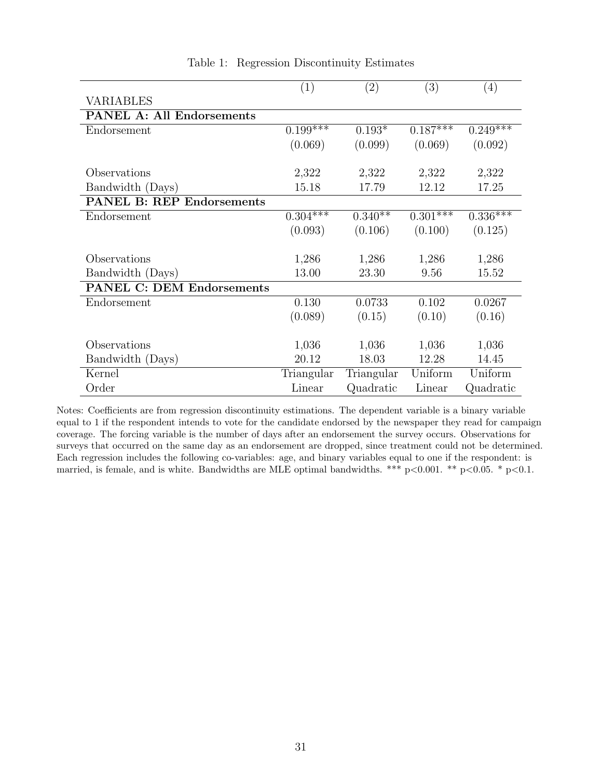<span id="page-30-0"></span>

|                                  | $\left( 1\right)$ | $\left( 2\right)$ | $\left( 3\right)$ | $\left(4\right)$ |
|----------------------------------|-------------------|-------------------|-------------------|------------------|
| <b>VARIABLES</b>                 |                   |                   |                   |                  |
| <b>PANEL A: All Endorsements</b> |                   |                   |                   |                  |
| Endorsement                      | $0.199***$        | $0.193*$          | $0.187***$        | $0.249***$       |
|                                  | (0.069)           | (0.099)           | (0.069)           | (0.092)          |
|                                  |                   |                   |                   |                  |
| Observations                     | 2,322             | 2,322             | 2,322             | 2,322            |
| Bandwidth (Days)                 | 15.18             | 17.79             | 12.12             | 17.25            |
| <b>PANEL B: REP Endorsements</b> |                   |                   |                   |                  |
| Endorsement                      | $0.304***$        | $0.340**$         | $0.301***$        | $0.336***$       |
|                                  | (0.093)           | (0.106)           | (0.100)           | (0.125)          |
|                                  |                   |                   |                   |                  |
| Observations                     | 1,286             | 1,286             | 1,286             | 1,286            |
| Bandwidth (Days)                 | 13.00             | 23.30             | 9.56              | 15.52            |
| <b>PANEL C: DEM Endorsements</b> |                   |                   |                   |                  |
| Endorsement                      | 0.130             | 0.0733            | 0.102             | 0.0267           |
|                                  | (0.089)           | (0.15)            | (0.10)            | (0.16)           |
|                                  |                   |                   |                   |                  |
| Observations                     | 1,036             | 1,036             | 1,036             | 1,036            |
| Bandwidth (Days)                 | 20.12             | 18.03             | 12.28             | 14.45            |
| Kernel                           | Triangular        | Triangular        | Uniform           | Uniform          |
| Order                            | Linear            | Quadratic         | Linear            | Quadratic        |

Table 1: Regression Discontinuity Estimates

Notes: Coefficients are from regression discontinuity estimations. The dependent variable is a binary variable equal to 1 if the respondent intends to vote for the candidate endorsed by the newspaper they read for campaign coverage. The forcing variable is the number of days after an endorsement the survey occurs. Observations for surveys that occurred on the same day as an endorsement are dropped, since treatment could not be determined. Each regression includes the following co-variables: age, and binary variables equal to one if the respondent: is married, is female, and is white. Bandwidths are MLE optimal bandwidths. \*\*\*  $p<0.001$ . \*\*  $p<0.05$ . \*  $p<0.1$ .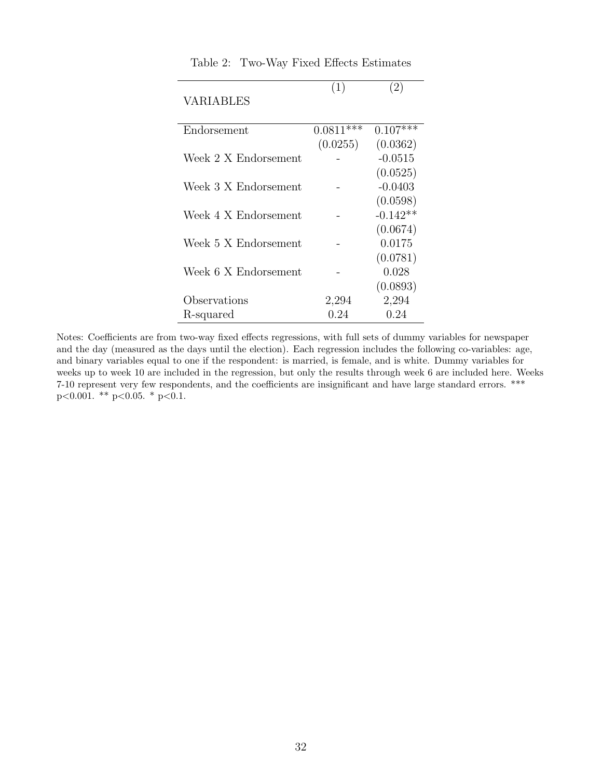| <b>VARIABLES</b>     |             |            |
|----------------------|-------------|------------|
| Endorsement          | $0.0811***$ | $0.107***$ |
|                      | (0.0255)    | (0.0362)   |
| Week 2 X Endorsement |             | $-0.0515$  |
|                      |             | (0.0525)   |
| Week 3 X Endorsement |             | $-0.0403$  |
|                      |             | (0.0598)   |
| Week 4 X Endorsement |             | $-0.142**$ |
|                      |             | (0.0674)   |
| Week 5 X Endorsement |             | 0.0175     |
|                      |             | (0.0781)   |
| Week 6 X Endorsement |             | 0.028      |
|                      |             | (0.0893)   |
| Observations         | 2,294       | 2,294      |
| R-squared            | 0.24        | 0.24       |

<span id="page-31-0"></span>Table 2: Two-Way Fixed Effects Estimates

 $\overline{a}$ 

 $(1)$   $(2)$ 

Notes: Coefficients are from two-way fixed effects regressions, with full sets of dummy variables for newspaper and the day (measured as the days until the election). Each regression includes the following co-variables: age, and binary variables equal to one if the respondent: is married, is female, and is white. Dummy variables for weeks up to week 10 are included in the regression, but only the results through week 6 are included here. Weeks 7-10 represent very few respondents, and the coefficients are insignificant and have large standard errors. \*\*\* p<0.001. \*\* p<0.05. \* p<0.1.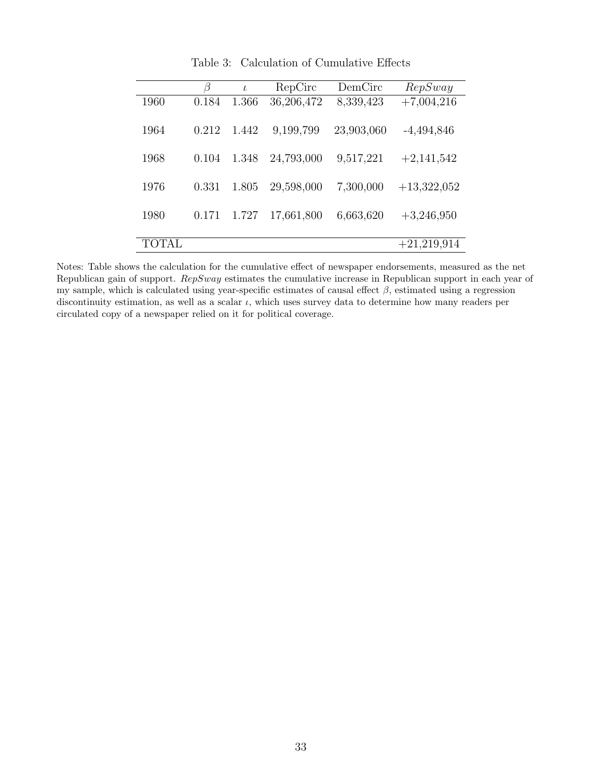| β     | $\iota$ | RepCirc    | DemCirc    | RepSway       |
|-------|---------|------------|------------|---------------|
| 0.184 | 1.366   | 36,206,472 | 8,339,423  | $+7,004,216$  |
| 0.212 | 1.442   | 9,199,799  | 23,903,060 | $-4,494,846$  |
| 0.104 | 1.348   | 24,793,000 | 9,517,221  | $+2,141,542$  |
| 0.331 | 1.805   | 29,598,000 | 7,300,000  | $+13,322,052$ |
| 0.171 | 1.727   | 17,661,800 | 6,663,620  | $+3,246,950$  |
|       |         |            |            | $+21,219,914$ |
|       |         |            |            |               |

Table 3: Calculation of Cumulative Effects

Notes: Table shows the calculation for the cumulative effect of newspaper endorsements, measured as the net Republican gain of support. RepSway estimates the cumulative increase in Republican support in each year of my sample, which is calculated using year-specific estimates of causal effect  $\beta$ , estimated using a regression discontinuity estimation, as well as a scalar  $\iota$ , which uses survey data to determine how many readers per circulated copy of a newspaper relied on it for political coverage.